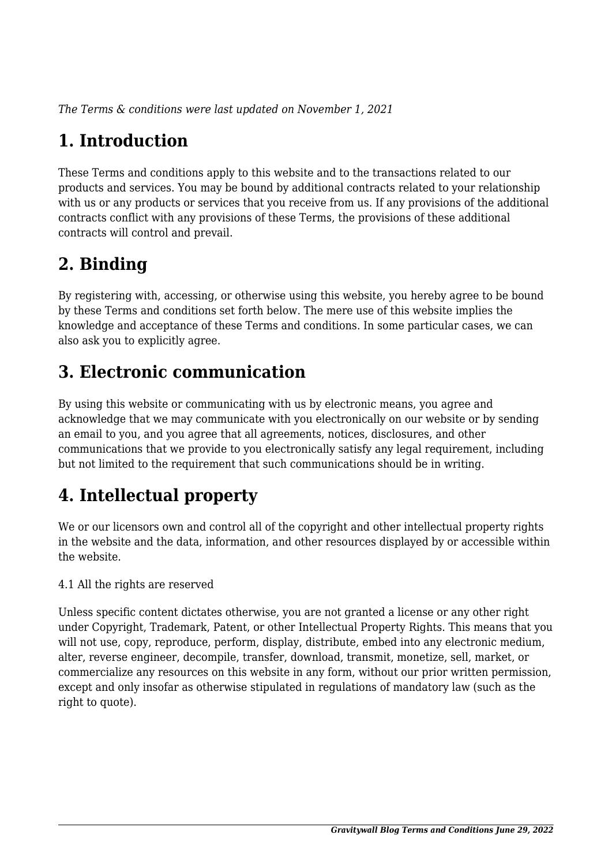*The Terms & conditions were last updated on November 1, 2021*

# **1. Introduction**

These Terms and conditions apply to this website and to the transactions related to our products and services. You may be bound by additional contracts related to your relationship with us or any products or services that you receive from us. If any provisions of the additional contracts conflict with any provisions of these Terms, the provisions of these additional contracts will control and prevail.

# **2. Binding**

By registering with, accessing, or otherwise using this website, you hereby agree to be bound by these Terms and conditions set forth below. The mere use of this website implies the knowledge and acceptance of these Terms and conditions. In some particular cases, we can also ask you to explicitly agree.

# **3. Electronic communication**

By using this website or communicating with us by electronic means, you agree and acknowledge that we may communicate with you electronically on our website or by sending an email to you, and you agree that all agreements, notices, disclosures, and other communications that we provide to you electronically satisfy any legal requirement, including but not limited to the requirement that such communications should be in writing.

# **4. Intellectual property**

We or our licensors own and control all of the copyright and other intellectual property rights in the website and the data, information, and other resources displayed by or accessible within the website.

4.1 All the rights are reserved

Unless specific content dictates otherwise, you are not granted a license or any other right under Copyright, Trademark, Patent, or other Intellectual Property Rights. This means that you will not use, copy, reproduce, perform, display, distribute, embed into any electronic medium, alter, reverse engineer, decompile, transfer, download, transmit, monetize, sell, market, or commercialize any resources on this website in any form, without our prior written permission, except and only insofar as otherwise stipulated in regulations of mandatory law (such as the right to quote).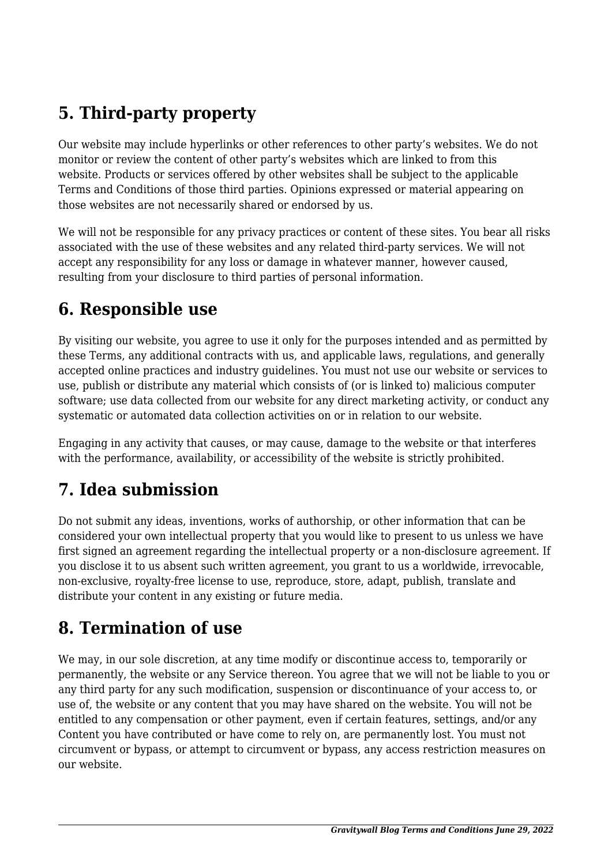# **5. Third-party property**

Our website may include hyperlinks or other references to other party's websites. We do not monitor or review the content of other party's websites which are linked to from this website. Products or services offered by other websites shall be subject to the applicable Terms and Conditions of those third parties. Opinions expressed or material appearing on those websites are not necessarily shared or endorsed by us.

We will not be responsible for any privacy practices or content of these sites. You bear all risks associated with the use of these websites and any related third-party services. We will not accept any responsibility for any loss or damage in whatever manner, however caused, resulting from your disclosure to third parties of personal information.

### **6. Responsible use**

By visiting our website, you agree to use it only for the purposes intended and as permitted by these Terms, any additional contracts with us, and applicable laws, regulations, and generally accepted online practices and industry guidelines. You must not use our website or services to use, publish or distribute any material which consists of (or is linked to) malicious computer software; use data collected from our website for any direct marketing activity, or conduct any systematic or automated data collection activities on or in relation to our website.

Engaging in any activity that causes, or may cause, damage to the website or that interferes with the performance, availability, or accessibility of the website is strictly prohibited.

# **7. Idea submission**

Do not submit any ideas, inventions, works of authorship, or other information that can be considered your own intellectual property that you would like to present to us unless we have first signed an agreement regarding the intellectual property or a non-disclosure agreement. If you disclose it to us absent such written agreement, you grant to us a worldwide, irrevocable, non-exclusive, royalty-free license to use, reproduce, store, adapt, publish, translate and distribute your content in any existing or future media.

## **8. Termination of use**

We may, in our sole discretion, at any time modify or discontinue access to, temporarily or permanently, the website or any Service thereon. You agree that we will not be liable to you or any third party for any such modification, suspension or discontinuance of your access to, or use of, the website or any content that you may have shared on the website. You will not be entitled to any compensation or other payment, even if certain features, settings, and/or any Content you have contributed or have come to rely on, are permanently lost. You must not circumvent or bypass, or attempt to circumvent or bypass, any access restriction measures on our website.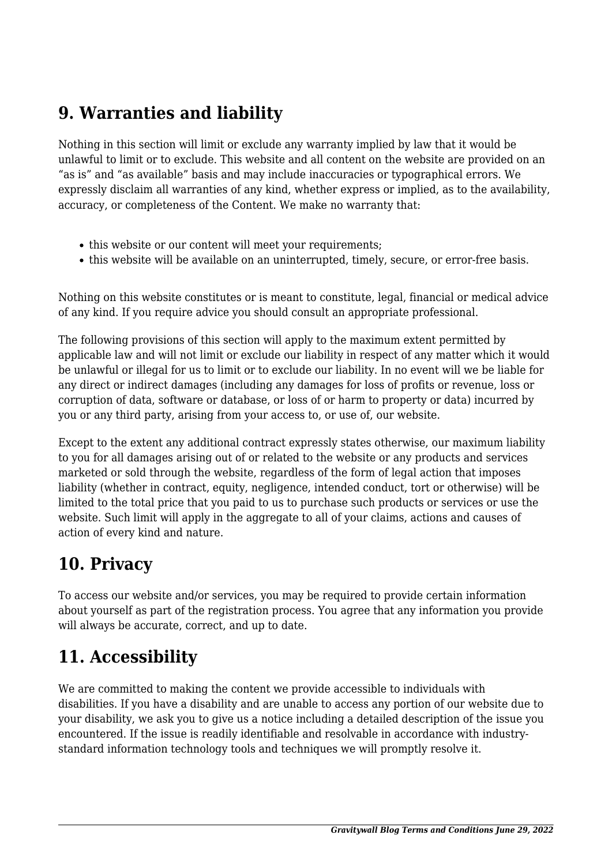## **9. Warranties and liability**

Nothing in this section will limit or exclude any warranty implied by law that it would be unlawful to limit or to exclude. This website and all content on the website are provided on an "as is" and "as available" basis and may include inaccuracies or typographical errors. We expressly disclaim all warranties of any kind, whether express or implied, as to the availability, accuracy, or completeness of the Content. We make no warranty that:

- this website or our content will meet your requirements;
- this website will be available on an uninterrupted, timely, secure, or error-free basis.

Nothing on this website constitutes or is meant to constitute, legal, financial or medical advice of any kind. If you require advice you should consult an appropriate professional.

The following provisions of this section will apply to the maximum extent permitted by applicable law and will not limit or exclude our liability in respect of any matter which it would be unlawful or illegal for us to limit or to exclude our liability. In no event will we be liable for any direct or indirect damages (including any damages for loss of profits or revenue, loss or corruption of data, software or database, or loss of or harm to property or data) incurred by you or any third party, arising from your access to, or use of, our website.

Except to the extent any additional contract expressly states otherwise, our maximum liability to you for all damages arising out of or related to the website or any products and services marketed or sold through the website, regardless of the form of legal action that imposes liability (whether in contract, equity, negligence, intended conduct, tort or otherwise) will be limited to the total price that you paid to us to purchase such products or services or use the website. Such limit will apply in the aggregate to all of your claims, actions and causes of action of every kind and nature.

## **10. Privacy**

To access our website and/or services, you may be required to provide certain information about yourself as part of the registration process. You agree that any information you provide will always be accurate, correct, and up to date.

## **11. Accessibility**

We are committed to making the content we provide accessible to individuals with disabilities. If you have a disability and are unable to access any portion of our website due to your disability, we ask you to give us a notice including a detailed description of the issue you encountered. If the issue is readily identifiable and resolvable in accordance with industrystandard information technology tools and techniques we will promptly resolve it.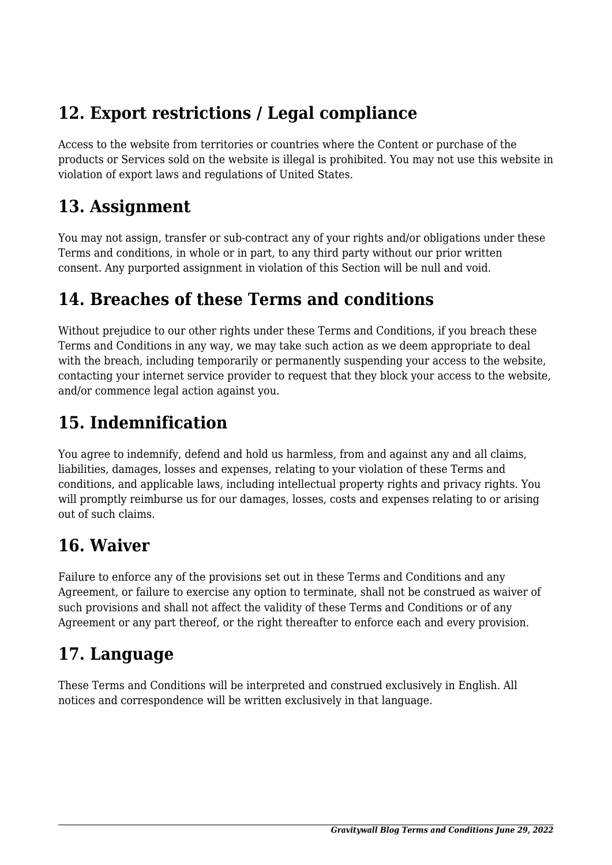## **12. Export restrictions / Legal compliance**

Access to the website from territories or countries where the Content or purchase of the products or Services sold on the website is illegal is prohibited. You may not use this website in violation of export laws and regulations of United States.

#### **13. Assignment**

You may not assign, transfer or sub-contract any of your rights and/or obligations under these Terms and conditions, in whole or in part, to any third party without our prior written consent. Any purported assignment in violation of this Section will be null and void.

## **14. Breaches of these Terms and conditions**

Without prejudice to our other rights under these Terms and Conditions, if you breach these Terms and Conditions in any way, we may take such action as we deem appropriate to deal with the breach, including temporarily or permanently suspending your access to the website, contacting your internet service provider to request that they block your access to the website, and/or commence legal action against you.

## **15. Indemnification**

You agree to indemnify, defend and hold us harmless, from and against any and all claims, liabilities, damages, losses and expenses, relating to your violation of these Terms and conditions, and applicable laws, including intellectual property rights and privacy rights. You will promptly reimburse us for our damages, losses, costs and expenses relating to or arising out of such claims.

# **16. Waiver**

Failure to enforce any of the provisions set out in these Terms and Conditions and any Agreement, or failure to exercise any option to terminate, shall not be construed as waiver of such provisions and shall not affect the validity of these Terms and Conditions or of any Agreement or any part thereof, or the right thereafter to enforce each and every provision.

# **17. Language**

These Terms and Conditions will be interpreted and construed exclusively in English. All notices and correspondence will be written exclusively in that language.